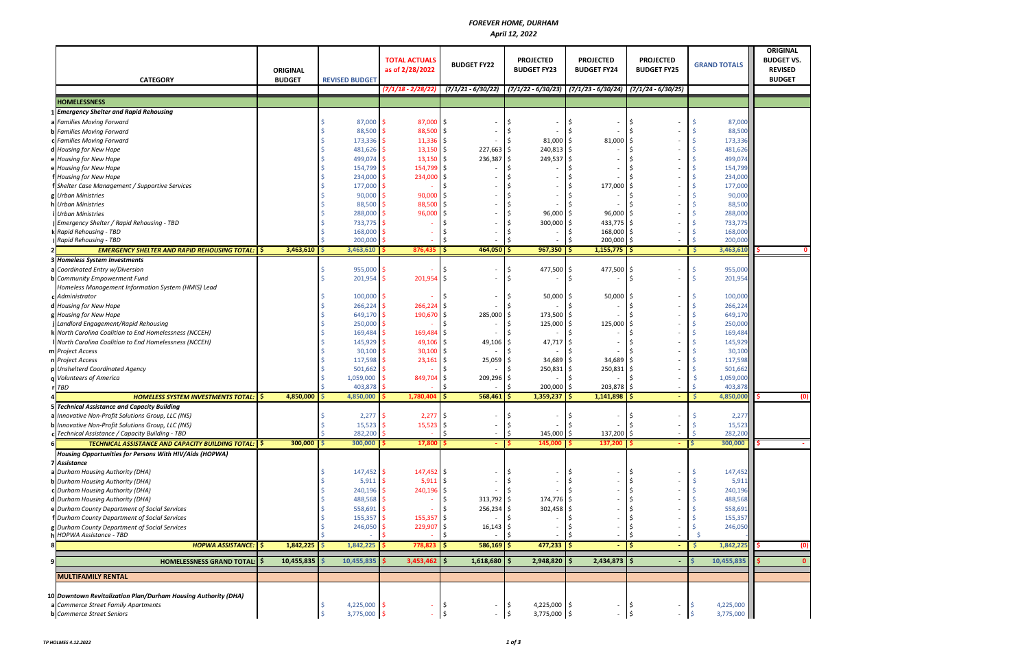## *FOREVER HOME, DURHAM April 12, 2022*

| <b>CATEGORY</b>                                                | <b>ORIGINAL</b><br><b>BUDGET</b> |          | <b>REVISED BUDGET</b> | <b>TOTAL ACTUALS</b><br>as of 2/28/2022 | <b>BUDGET FY22</b>             | <b>PROJECTED</b><br><b>BUDGET FY23</b> | <b>PROJECTED</b><br><b>BUDGET FY24</b>                                              | <b>PROJECTED</b><br><b>BUDGET FY25</b>         | <b>GRAND TOTALS</b> | <b>ORIGINAL</b><br><b>BUDGET VS.</b><br><b>REVISED</b><br><b>BUDGET</b> |
|----------------------------------------------------------------|----------------------------------|----------|-----------------------|-----------------------------------------|--------------------------------|----------------------------------------|-------------------------------------------------------------------------------------|------------------------------------------------|---------------------|-------------------------------------------------------------------------|
|                                                                |                                  |          |                       | $(7/1/18 - 2/28/22)$                    |                                |                                        | $(7/1/21 - 6/30/22)$ $(7/1/22 - 6/30/23)$ $(7/1/23 - 6/30/24)$ $(7/1/24 - 6/30/25)$ |                                                |                     |                                                                         |
| <b>HOMELESSNESS</b>                                            |                                  |          |                       |                                         |                                |                                        |                                                                                     |                                                |                     |                                                                         |
| 1 Emergency Shelter and Rapid Rehousing                        |                                  |          |                       |                                         |                                |                                        |                                                                                     |                                                |                     |                                                                         |
| a Families Moving Forward                                      |                                  |          | 87,000                | 87,000                                  | -\$                            |                                        |                                                                                     |                                                |                     | 87,000                                                                  |
| <b>b</b> Families Moving Forward                               |                                  |          | 88,500                | 88,500                                  | l\$                            |                                        |                                                                                     |                                                |                     | 88,500                                                                  |
| c Families Moving Forward                                      |                                  |          | 173,336               | $11,336$ \$                             |                                | 81,000                                 | 81,000<br>-\$                                                                       |                                                |                     | 173,336                                                                 |
| d Housing for New Hope                                         |                                  |          | 481,626               | 13,150                                  | 227,663<br>l \$                | 240,813 \$<br>-\$                      |                                                                                     |                                                |                     | 481,626                                                                 |
| e Housing for New Hope                                         |                                  |          | 499,074               | 13,150                                  | 236,387<br>l\$                 | 249,537<br>Ś                           | Ś                                                                                   |                                                |                     | 499,074                                                                 |
| e Housing for New Hope                                         |                                  |          | 154,799               | 154,799                                 | \$                             |                                        |                                                                                     |                                                |                     | 154,799                                                                 |
| f Housing for New Hope                                         |                                  |          | 234,000               | 234,000                                 | -\$                            |                                        |                                                                                     |                                                |                     | 234,000                                                                 |
| f Shelter Case Management / Supportive Services                |                                  |          | 177,000               |                                         | -Ś                             |                                        | 177,000                                                                             | Ŝ                                              |                     | 177,000                                                                 |
| g Urban Ministries                                             |                                  |          | 90,000                | 90,000                                  | Ŝ.                             |                                        |                                                                                     |                                                |                     | 90,000                                                                  |
| h Urban Ministries                                             |                                  |          | 88,500                | 88,500                                  |                                |                                        |                                                                                     |                                                |                     | 88,500                                                                  |
| Urban Ministries                                               |                                  |          | 288,000               | 96,000                                  | Ŝ.                             | 96,000                                 | 96,000                                                                              |                                                |                     | 288,000                                                                 |
| Emergency Shelter / Rapid Rehousing - TBD                      |                                  |          | 733,775               |                                         |                                | 300,000                                | $433,775$ \$<br>Ś                                                                   |                                                |                     | 733,775                                                                 |
| k Rapid Rehousing - TBD                                        |                                  |          |                       |                                         |                                |                                        | 168,000                                                                             |                                                |                     | 168,000                                                                 |
| Rapid Rehousing - TBD                                          |                                  |          | 168,000<br>200,000    |                                         |                                |                                        | 200,000                                                                             | l \$<br>-\$                                    |                     | 200,000                                                                 |
| <b>EMERGENCY SHELTER AND RAPID REHOUSING TOTAL:   \$</b>       | 3,463,610                        | <b>S</b> | 3,463,610             | 876,435                                 | IS.<br>$464,050$ \$            | $967,350$ \$                           | $1,155,775$ \$                                                                      | $\sim$                                         | -\$                 | 3,463,610                                                               |
|                                                                |                                  |          |                       |                                         |                                |                                        |                                                                                     |                                                |                     |                                                                         |
| <b>3 Homeless System Investments</b>                           |                                  |          |                       |                                         |                                |                                        |                                                                                     |                                                |                     |                                                                         |
| a Coordinated Entry w/Diversion                                |                                  |          | 955,000               |                                         |                                | 477,500 \$                             | 477,500                                                                             | ۱\$                                            |                     | 955,000                                                                 |
| <b>b</b> Community Empowerment Fund                            |                                  |          | 201,954               | 201,954                                 | -\$                            |                                        | Ś                                                                                   | Ś                                              |                     | 201,954                                                                 |
| Homeless Management Information System (HMIS) Lead             |                                  |          |                       |                                         |                                |                                        |                                                                                     |                                                |                     |                                                                         |
| c Administrator                                                |                                  |          | 100,000               |                                         |                                | 50,000                                 | 50,000                                                                              |                                                |                     | 100,000                                                                 |
| d Housing for New Hope                                         |                                  |          | 266,224               | 266,224                                 | -\$                            |                                        |                                                                                     |                                                |                     | 266,224                                                                 |
| g Housing for New Hope                                         |                                  |          | 649,170               | 190,670                                 | \$<br>285,000                  | 173,500                                |                                                                                     |                                                |                     | 649,170                                                                 |
| Landlord Engagement/Rapid Rehousing                            |                                  |          | 250,000               |                                         |                                | 125,000                                | 125,000<br>Ś                                                                        |                                                |                     | 250,000                                                                 |
| k North Carolina Coalition to End Homelessness (NCCEH)         |                                  |          | 169,484               | 169,484                                 | -\$                            |                                        |                                                                                     |                                                |                     | 169,484                                                                 |
| North Carolina Coalition to End Homelessness (NCCEH)           |                                  |          | 145,929               | 49,106                                  | 49,106<br>I\$                  | 47,717                                 |                                                                                     |                                                |                     | 145,929                                                                 |
| m Project Access                                               |                                  |          | 30,100                | 30,100                                  | \$                             |                                        |                                                                                     |                                                |                     | 30,100                                                                  |
| n Project Access                                               |                                  |          | 117,598               | 23,161                                  | Ŝ.<br>25,059                   | 34,689                                 | 34,689                                                                              |                                                |                     | 117,598                                                                 |
| <b>Unshelterd Coordinated Agency</b>                           |                                  |          | 501,662               |                                         |                                | 250,831                                | 250,831                                                                             |                                                |                     | 501,662                                                                 |
| <b>Volunteers of America</b>                                   |                                  |          | 1,059,000             | 849,704                                 | 209,296<br>-S                  |                                        |                                                                                     |                                                |                     | 1,059,000                                                               |
| r TBD                                                          |                                  |          | 403,878               |                                         | Ŝ.                             | 200,000                                | 203,878<br>-\$                                                                      | l \$                                           |                     | 403,878                                                                 |
| <b>HOMELESS SYSTEM INVESTMENTS TOTAL:</b> \$                   | 4,850,000                        | l Ś      | 4,850,000             | $1,780,404$ \$                          | $568,461$ \$                   | $1,359,237$ \$                         | $1,141,898$ \$                                                                      |                                                | - Ś                 | 4,850,000<br>(0)                                                        |
| <b>5 Technical Assistance and Capacity Building</b>            |                                  |          |                       |                                         |                                |                                        |                                                                                     |                                                |                     |                                                                         |
| a Innovative Non-Profit Solutions Group, LLC (INS)             |                                  |          | 2,277                 | 2,277                                   | \$                             |                                        |                                                                                     |                                                |                     | 2,277                                                                   |
| <b>b</b> Innovative Non-Profit Solutions Group, LLC (INS)      |                                  |          | $15,523$ \$           | $15,523$ \$                             |                                | ⇒                                      |                                                                                     |                                                |                     | 15,523                                                                  |
| Technical Assistance / Capacity Building - TBD                 |                                  |          | 282,200 \$            |                                         | Ŝ.<br>$\overline{\phantom{a}}$ | 145,000 \$<br>\$                       | 137,200 \$                                                                          |                                                |                     | 282,200                                                                 |
| <b>TECHNICAL ASSISTANCE AND CAPACITY BUILDING TOTAL: \$</b>    | $300,000$ $\frac{1}{5}$          |          | 300,000               | $17,800$ \$                             |                                | 145,000                                | 137,200 \$                                                                          |                                                |                     | 300,000                                                                 |
| Housing Opportunities for Persons With HIV/Aids (HOPWA)        |                                  |          |                       |                                         |                                |                                        |                                                                                     |                                                |                     |                                                                         |
| 7 Assistance                                                   |                                  |          |                       |                                         |                                |                                        |                                                                                     |                                                |                     |                                                                         |
| a Durham Housing Authority (DHA)                               |                                  |          | 147,452 \$            | $147,452$ \$                            |                                |                                        |                                                                                     | Ś                                              |                     | 147,452                                                                 |
| <b>b</b> Durham Housing Authority (DHA)                        |                                  |          | 5,911                 | 5,911                                   | l \$                           |                                        |                                                                                     |                                                |                     | 5,911                                                                   |
| c Durham Housing Authority (DHA)                               |                                  |          | 240,196               | 240,196 \$                              |                                |                                        |                                                                                     |                                                |                     | 240,196                                                                 |
| d Durham Housing Authority (DHA)                               |                                  |          | 488,568               |                                         | $313,792$ \$                   | 174,776 \$                             |                                                                                     |                                                |                     | 488,568                                                                 |
| e Durham County Department of Social Services                  |                                  |          | 558,691               |                                         | 256,234                        | $302,458$ \$                           |                                                                                     |                                                |                     | 558,691                                                                 |
| f Durham County Department of Social Services                  |                                  |          | 155,357               | 155,357                                 |                                |                                        |                                                                                     |                                                |                     | 155,357                                                                 |
| g Durham County Department of Social Services                  |                                  |          | 246,050               | 229,907                                 | ۱\$<br>16,143                  |                                        |                                                                                     |                                                |                     | 246,050                                                                 |
| h HOPWA Assistance - TBD                                       |                                  |          |                       |                                         | -Ś                             |                                        | $\overline{\phantom{a}}$                                                            |                                                |                     |                                                                         |
| HOPWA ASSISTANCE:   \$                                         | $1,842,225$ \$                   |          | 1,842,225             | $778,823$ \$                            | $586,169$ \$                   | $477,233$ \$                           | - 1\$                                                                               | e i                                            | -S                  | 1,842,225<br>(0)                                                        |
|                                                                |                                  |          |                       |                                         |                                |                                        |                                                                                     |                                                |                     |                                                                         |
| <b>HOMELESSNESS GRAND TOTAL: S</b>                             | 10,455,835                       |          | 10,455,835            | 3,453,462                               | l \$<br>$1,618,680$   \$       | $2,948,820$ \$                         | $2,434,873$ $\frac{1}{5}$                                                           |                                                |                     | 10,455,835<br>$\mathbf{0}$                                              |
| <b>MULTIFAMILY RENTAL</b>                                      |                                  |          |                       |                                         |                                |                                        |                                                                                     |                                                |                     |                                                                         |
|                                                                |                                  |          |                       |                                         |                                |                                        |                                                                                     |                                                |                     |                                                                         |
|                                                                |                                  |          |                       |                                         |                                |                                        |                                                                                     |                                                |                     |                                                                         |
| 10 Downtown Revitalization Plan/Durham Housing Authority (DHA) |                                  |          |                       |                                         |                                |                                        |                                                                                     |                                                |                     |                                                                         |
| a Commerce Street Family Apartments                            |                                  |          | 4,225,000 \$          |                                         |                                | 4,225,000 \$                           |                                                                                     | -\$                                            |                     | 4,225,000                                                               |
| <b>b</b> Commerce Street Seniors                               |                                  |          | 3,775,000 \$          |                                         | \$<br>$\overline{\phantom{a}}$ | 3,775,000 \$<br>- 15                   | $\sim$                                                                              | $\vert \mathsf{s}$<br>$\overline{\phantom{a}}$ |                     | 3,775,000                                                               |

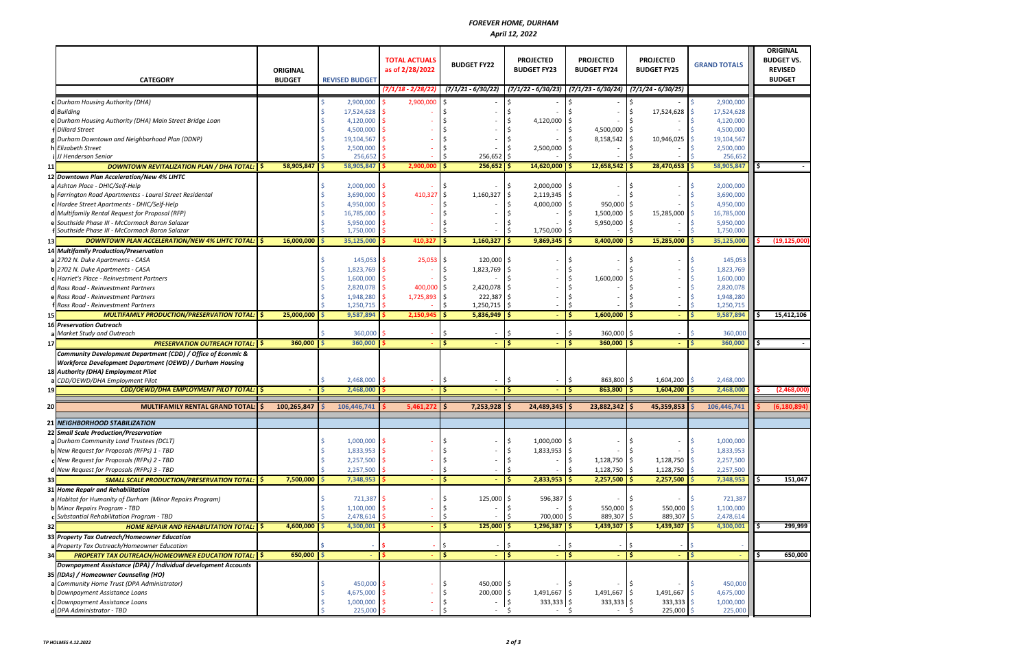## *FOREVER HOME, DURHAM April 12, 2022*



|         | <b>CATEGORY</b>                                                 | <b>ORIGINAL</b><br><b>BUDGET</b> | <b>REVISED BUDGET</b> | <b>TOTAL ACTUALS</b><br>as of 2/28/2022 | <b>BUDGET FY22</b>     |                          | <b>PROJECTED</b><br><b>BUDGET FY23</b> | <b>PROJECTED</b><br><b>BUDGET FY24</b>                         | <b>PROJECTED</b><br><b>BUDGET FY25</b> | <b>GRAND TOTALS</b> |  | <b>ORIGINAL</b><br><b>BUDGET VS.</b><br><b>REVISED</b><br><b>BUDGET</b> |
|---------|-----------------------------------------------------------------|----------------------------------|-----------------------|-----------------------------------------|------------------------|--------------------------|----------------------------------------|----------------------------------------------------------------|----------------------------------------|---------------------|--|-------------------------------------------------------------------------|
|         |                                                                 |                                  |                       | $(7/1/18 - 2/28/22)$                    | $(7/1/21 - 6/30/22)$   |                          |                                        | $(7/1/22 - 6/30/23)$ $(7/1/23 - 6/30/24)$ $(7/1/24 - 6/30/25)$ |                                        |                     |  |                                                                         |
|         | c Durham Housing Authority (DHA)                                |                                  | 2,900,000             | 2,900,000                               |                        |                          |                                        |                                                                |                                        | 2,900,000           |  |                                                                         |
|         | d Building                                                      |                                  | 17,524,628            |                                         |                        |                          |                                        |                                                                | 17,524,628                             | 17,524,628          |  |                                                                         |
|         | e Durham Housing Authority (DHA) Main Street Bridge Loan        |                                  | 4,120,000             |                                         |                        |                          | 4,120,000                              |                                                                |                                        | 4,120,000           |  |                                                                         |
|         | <b>Dillard Street</b>                                           |                                  | 4,500,000             |                                         |                        |                          |                                        | $4,500,000$   \$                                               |                                        | 4,500,000           |  |                                                                         |
|         | g Durham Downtown and Neighborhood Plan (DDNP)                  |                                  | 19,104,567            |                                         |                        |                          |                                        | $8,158,542$ \$                                                 | 10,946,025                             | 19,104,567          |  |                                                                         |
|         | <b>Elizabeth Street</b>                                         |                                  | 2,500,000             |                                         |                        |                          | 2,500,000                              |                                                                |                                        | 2,500,000           |  |                                                                         |
|         | JJ Henderson Senior                                             |                                  | 256,652               |                                         | 256,652                |                          | -\$                                    |                                                                |                                        | 256,652             |  |                                                                         |
| 11      | DOWNTOWN REVITALIZATION PLAN / DHA TOTAL:   \$                  | 58,905,847                       | 58,905,847            | 2,900,000                               | ۱Ś<br>$256,652$ \$     |                          | 14,620,000                             | $12,658,542$ \$                                                | 28,470,653                             | 58,905,847          |  |                                                                         |
|         | 12 Downtown Plan Acceleration/New 4% LIHTC                      |                                  |                       |                                         |                        |                          |                                        |                                                                |                                        |                     |  |                                                                         |
|         | a Ashton Place - DHIC/Self-Help                                 |                                  | 2,000,000             |                                         |                        |                          | 2,000,000                              | Ŝ.                                                             |                                        | 2,000,000           |  |                                                                         |
|         | <b>b</b> Farrington Road Apartmentss - Laurel Street Residental |                                  | 3,690,000             | 410,327                                 | 1,160,327              |                          | $2,119,345$ \$<br>Ś                    |                                                                |                                        | 3,690,000           |  |                                                                         |
|         | c Hardee Street Apartments - DHIC/Self-Help                     |                                  | 4,950,000             |                                         |                        |                          | 4,000,000                              | \$<br>950,000                                                  |                                        | 4,950,000           |  |                                                                         |
|         | d Multifamily Rental Request for Proposal (RFP)                 |                                  | 16,785,000            |                                         |                        |                          |                                        | 1,500,000<br>Ś                                                 | 15,285,000                             | 16,785,000          |  |                                                                         |
|         | e Southside Phase III - McCormack Baron Salazar                 |                                  | 5,950,000             |                                         |                        |                          |                                        | 5,950,000 \$                                                   |                                        | 5,950,000           |  |                                                                         |
|         | <b>f</b> Southside Phase III - McCormack Baron Salazar          |                                  | 1,750,000             |                                         |                        |                          | 1,750,000                              | Ś                                                              | -Ś                                     | 1,750,000           |  |                                                                         |
| 13      | DOWNTOWN PLAN ACCELERATION/NEW 4% LIHTC TOTAL: \\$              | $16,000,000$ \$                  | 35,125,000            | 410,327                                 | l \$<br>$1,160,327$ \$ |                          | $9,869,345$   \$                       | $8,400,000$ \$                                                 | 15,285,000                             | 35,125,000          |  | (19, 125, 000)                                                          |
|         | 14 Multifamily Production/Preservation                          |                                  |                       |                                         |                        |                          |                                        |                                                                |                                        |                     |  |                                                                         |
|         | a 2702 N. Duke Apartments - CASA                                |                                  | 145,053               | 25,053                                  | 120,000                |                          | Ŝ                                      |                                                                |                                        | 145,053             |  |                                                                         |
|         |                                                                 |                                  |                       |                                         |                        |                          |                                        |                                                                |                                        |                     |  |                                                                         |
|         | <b>b</b> 2702 N. Duke Apartments - CASA                         |                                  | 1,823,769             |                                         | 1,823,769              |                          |                                        |                                                                |                                        | 1,823,769           |  |                                                                         |
|         | <b>C</b> Harriet's Place - Reinvestment Partners                |                                  | $1,600,000$ \$        |                                         |                        |                          |                                        | 1,600,000                                                      |                                        | 1,600,000           |  |                                                                         |
|         | d Ross Road - Reinvestment Partners                             |                                  | 2,820,078             | 400,000 \$                              | 2,420,078              |                          | S                                      |                                                                |                                        | 2,820,078           |  |                                                                         |
|         | e Ross Road - Reinvestment Partners                             |                                  | 1,948,280             | 1,725,893                               | 222,387                |                          |                                        | Ś                                                              |                                        | 1,948,280           |  |                                                                         |
|         | Ross Road - Reinvestment Partners                               |                                  | 1,250,715             |                                         | 1,250,715              |                          | S                                      | Š.                                                             |                                        | 1,250,715           |  |                                                                         |
| 15      | <b>MULTIFAMILY PRODUCTION/PRESERVATION TOTAL:   \$</b>          | 25,000,000 \$                    | 9,587,894             | $2,150,945$ \$                          | $5,836,949$ \$         |                          | $\sim$                                 | $1,600,000$   \$                                               |                                        | 9,587,894           |  | 15,412,106                                                              |
|         | <b>16 Preservation Outreach</b>                                 |                                  |                       |                                         |                        |                          |                                        |                                                                |                                        |                     |  |                                                                         |
|         | <b>Market Study and Outreach</b>                                |                                  | 360,000               |                                         |                        |                          | S                                      | Ś<br>$360,000$   \$                                            |                                        | 360,000             |  |                                                                         |
| $17 \,$ | <b>PRESERVATION OUTREACH TOTAL: S</b>                           | 360,000                          | 360,000               |                                         | -Ś                     |                          | Ŝ                                      | Ś<br>$360,000$   \$                                            |                                        | 360,000             |  |                                                                         |
|         | Community Development Department (CDD) / Office of Econmic &    |                                  |                       |                                         |                        |                          |                                        |                                                                |                                        |                     |  |                                                                         |
|         | Workforce Development Department (OEWD) / Durham Housing        |                                  |                       |                                         |                        |                          |                                        |                                                                |                                        |                     |  |                                                                         |
|         | 18 Authority (DHA) Employment Pilot                             |                                  |                       |                                         |                        |                          |                                        |                                                                |                                        |                     |  |                                                                         |
|         | CDD/OEWD/DHA Employment Pilot                                   |                                  | 2,468,000             |                                         | -Ś                     | $\overline{a}$           | \$<br>$\sim$<br>Ŝ.                     | 863,800 \$<br>Ś<br>-Ś                                          | 1,604,200                              | 2,468,000           |  |                                                                         |
| 19      | CDD/OEWD/DHA EMPLOYMENT PILOT TOTAL: S                          |                                  | 2,468,000             |                                         |                        |                          |                                        | $863,800$ \$                                                   | 1,604,200                              | 2,468,000           |  | (2,468,000)                                                             |
| 20      | MULTIFAMILY RENTAL GRAND TOTAL: S                               | 100,265,847                      | 106,446,741           | 5,461,272                               | l \$<br>7,253,928      |                          | 24,489,345<br>.S                       | $23,882,342$ \$<br>-S                                          | 45,359,853                             | 106,446,741         |  | (6, 180, 894)                                                           |
|         |                                                                 |                                  |                       |                                         |                        |                          |                                        |                                                                |                                        |                     |  |                                                                         |
|         | 21 NEIGHBORHOOD STABILIZATION                                   |                                  |                       |                                         |                        |                          |                                        |                                                                |                                        |                     |  |                                                                         |
|         | 22 Small Scale Production/Preservation                          |                                  |                       |                                         |                        |                          |                                        |                                                                |                                        |                     |  |                                                                         |
|         | a Durham Community Land Trustees (DCLT)                         |                                  | 1,000,000             |                                         |                        |                          | 1,000,000<br>Ś                         | \$                                                             |                                        | 1,000,000           |  |                                                                         |
|         | b New Request for Proposals (RFPs) 1 - TBD                      |                                  | 1,833,953             |                                         |                        |                          | $1,833,953$ \$                         |                                                                |                                        | 1,833,953           |  |                                                                         |
|         | c New Request for Proposals (RFPs) 2 - TBD                      |                                  | $2,257,500$ \$        |                                         |                        |                          | \$                                     | \$<br>1,128,750 \$                                             | 1,128,750                              | 2,257,500           |  |                                                                         |
|         | d New Request for Proposals (RFPs) 3 - TBD                      |                                  | 2,257,500             |                                         |                        | $\overline{\phantom{a}}$ | \$                                     | $1,128,750$ \$<br>Ś                                            | 1,128,750                              | 2,257,500           |  |                                                                         |
| 33      | <b>SMALL SCALE PRODUCTION/PRESERVATION TOTAL:   \$</b>          | $7,500,000$ $\frac{1}{5}$        | 7,348,953             |                                         | ۱\$                    | $\sim$                   | -\$<br>$2,833,953$ \$                  | $2,257,500$ \$                                                 | 2,257,500                              | 7,348,953           |  | 151,047                                                                 |
|         | <b>31 Home Repair and Rehabilitation</b>                        |                                  |                       |                                         |                        |                          |                                        |                                                                |                                        |                     |  |                                                                         |
|         | a Habitat for Humanity of Durham (Minor Repairs Program)        |                                  | 721,387               |                                         | 125,000                |                          | 596,387 \$<br>S                        |                                                                |                                        | 721,387             |  |                                                                         |
|         | <b>b</b> Minor Repairs Program - TBD                            |                                  | 1,100,000             |                                         |                        |                          | Ś                                      | 550,000 \$<br>Ś.                                               | 550,000                                | 1,100,000           |  |                                                                         |
|         | Substantial Rehabilitation Program - TBD                        |                                  | 2,478,614             | $\overline{\phantom{a}}$                |                        |                          | 700,000 \$                             | 889,307 \$                                                     | 889,307                                | 2,478,614           |  |                                                                         |
| 32      | <b>HOME REPAIR AND REHABILITATION TOTAL:   \$</b>               | $4,600,000$ \$                   | 4,300,001             |                                         | -Ś<br>$125,000$ \$     |                          | $1,296,387$ \$                         | $1,439,307$ \$                                                 | 1,439,307                              | 4,300,001           |  | 299,999                                                                 |
|         | 33 Property Tax Outreach/Homeowner Education                    |                                  |                       |                                         |                        |                          |                                        |                                                                |                                        |                     |  |                                                                         |
|         | a Property Tax Outreach/Homeowner Education                     |                                  |                       |                                         |                        |                          | \$                                     |                                                                | Ŝ.                                     |                     |  |                                                                         |
| 34      | <b>PROPERTY TAX OUTREACH/HOMEOWNER EDUCATION TOTAL:   \$</b>    | $650,000$ \$                     |                       |                                         | ۱\$                    |                          | \$                                     | l\$                                                            | $-15$                                  |                     |  | 650,000                                                                 |
|         | Downpayment Assistance (DPA) / Individual development Accounts  |                                  |                       |                                         |                        |                          |                                        |                                                                |                                        |                     |  |                                                                         |
|         | 35 (IDAs) / Homeowner Counseling (HO)                           |                                  |                       |                                         |                        |                          |                                        |                                                                |                                        |                     |  |                                                                         |
|         | a Community Home Trust (DPA Administrator)                      |                                  | 450,000 \$            |                                         | 450,000 \$             |                          |                                        | Ŝ.                                                             |                                        | 450,000             |  |                                                                         |
|         | <b>b</b> Downpayment Assistance Loans                           |                                  | 4,675,000             |                                         | 200,000 \$             |                          | $1,491,667$ \$                         | 1,491,667 \$                                                   | 1,491,667                              | 4,675,000           |  |                                                                         |
|         | C Downpayment Assistance Loans                                  |                                  | $1,000,000$ :         |                                         |                        |                          | $333,333$ \$<br>\$                     | $333,333$ \$                                                   | 333,333                                | 1,000,000           |  |                                                                         |
|         | d DPA Administrator - TBD                                       |                                  | 225,000 \$            |                                         |                        |                          | Ŝ.                                     | - \$                                                           | $225,000$ \$<br>$-5$                   | 225,000             |  |                                                                         |